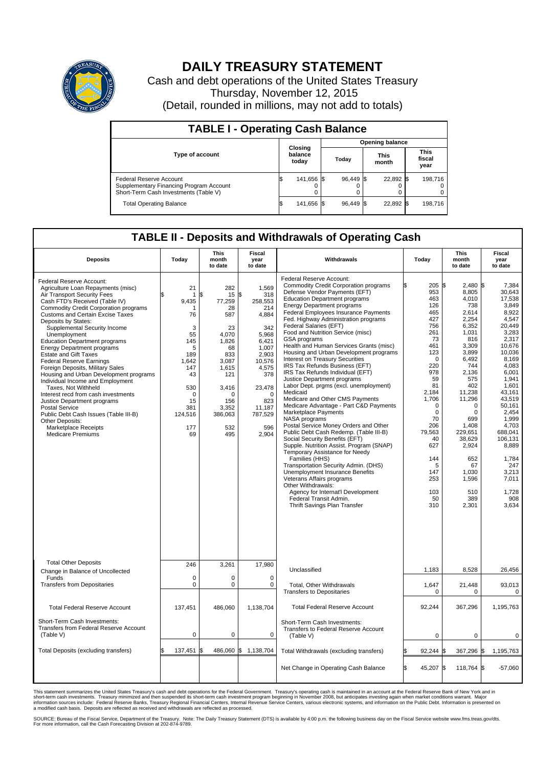

## **DAILY TREASURY STATEMENT**

Cash and debt operations of the United States Treasury Thursday, November 12, 2015 (Detail, rounded in millions, may not add to totals)

| <b>TABLE I - Operating Cash Balance</b>                                                                     |  |                             |  |                        |  |                      |  |                               |  |  |
|-------------------------------------------------------------------------------------------------------------|--|-----------------------------|--|------------------------|--|----------------------|--|-------------------------------|--|--|
|                                                                                                             |  |                             |  | <b>Opening balance</b> |  |                      |  |                               |  |  |
| <b>Type of account</b>                                                                                      |  | Closing<br>balance<br>today |  | Todav                  |  | <b>This</b><br>month |  | <b>This</b><br>fiscal<br>year |  |  |
| Federal Reserve Account<br>Supplementary Financing Program Account<br>Short-Term Cash Investments (Table V) |  | 141,656 \$                  |  | 96.449 \$              |  | 22,892 \$            |  | 198.716                       |  |  |
| <b>Total Operating Balance</b>                                                                              |  | 141,656 \$                  |  | 96.449 \$              |  | 22,892 \$            |  | 198,716                       |  |  |

## **TABLE II - Deposits and Withdrawals of Operating Cash**

| <b>Deposits</b>                                                                                                                                                                                                                                                                                                                                                                                                                                                                                                                                                                                                                                                                                                                                                                                           | Today                                                                                                                                            | <b>This</b><br>month<br>to date                                                                                                                             | <b>Fiscal</b><br>year<br>to date                                                                                                                                                        | Withdrawals                                                                                                                                                                                                                                                                                                                                                                                                                                                                                                                                                                                                                                                                                                                                                                                                                                                                                                                                                                                                                                                                                                                                                                                                             | Today                                                                                                                                                                                                                                                | <b>This</b><br>month<br>to date                                                                                                                                                                                                                                                     | Fiscal<br>year<br>to date                                                                                                                                                                                                                                                                            |
|-----------------------------------------------------------------------------------------------------------------------------------------------------------------------------------------------------------------------------------------------------------------------------------------------------------------------------------------------------------------------------------------------------------------------------------------------------------------------------------------------------------------------------------------------------------------------------------------------------------------------------------------------------------------------------------------------------------------------------------------------------------------------------------------------------------|--------------------------------------------------------------------------------------------------------------------------------------------------|-------------------------------------------------------------------------------------------------------------------------------------------------------------|-----------------------------------------------------------------------------------------------------------------------------------------------------------------------------------------|-------------------------------------------------------------------------------------------------------------------------------------------------------------------------------------------------------------------------------------------------------------------------------------------------------------------------------------------------------------------------------------------------------------------------------------------------------------------------------------------------------------------------------------------------------------------------------------------------------------------------------------------------------------------------------------------------------------------------------------------------------------------------------------------------------------------------------------------------------------------------------------------------------------------------------------------------------------------------------------------------------------------------------------------------------------------------------------------------------------------------------------------------------------------------------------------------------------------------|------------------------------------------------------------------------------------------------------------------------------------------------------------------------------------------------------------------------------------------------------|-------------------------------------------------------------------------------------------------------------------------------------------------------------------------------------------------------------------------------------------------------------------------------------|------------------------------------------------------------------------------------------------------------------------------------------------------------------------------------------------------------------------------------------------------------------------------------------------------|
| Federal Reserve Account:<br>Agriculture Loan Repayments (misc)<br>Air Transport Security Fees<br>Cash FTD's Received (Table IV)<br><b>Commodity Credit Corporation programs</b><br><b>Customs and Certain Excise Taxes</b><br>Deposits by States:<br>Supplemental Security Income<br>Unemployment<br><b>Education Department programs</b><br><b>Energy Department programs</b><br><b>Estate and Gift Taxes</b><br><b>Federal Reserve Earnings</b><br>Foreign Deposits, Military Sales<br>Housing and Urban Development programs<br>Individual Income and Employment<br>Taxes. Not Withheld<br>Interest recd from cash investments<br>Justice Department programs<br>Postal Service<br>Public Debt Cash Issues (Table III-B)<br>Other Deposits:<br><b>Marketplace Receipts</b><br><b>Medicare Premiums</b> | 21<br>$\mathbf{1}$<br>9,435<br>76<br>3<br>55<br>145<br>5<br>189<br>1,642<br>147<br>43<br>530<br>$\mathbf 0$<br>15<br>381<br>124,516<br>177<br>69 | 282<br>15<br>\$<br>77,259<br>28<br>587<br>23<br>4,070<br>1,826<br>68<br>833<br>3,087<br>1.615<br>121<br>3,416<br>O<br>156<br>3,352<br>386,063<br>532<br>495 | 1,569<br>\$<br>318<br>258,553<br>214<br>4,884<br>342<br>5,968<br>6.421<br>1.007<br>2,903<br>10,576<br>4,575<br>378<br>23,478<br>$\mathbf 0$<br>823<br>11,187<br>787,529<br>596<br>2,904 | Federal Reserve Account:<br><b>Commodity Credit Corporation programs</b><br>Defense Vendor Payments (EFT)<br><b>Education Department programs</b><br><b>Energy Department programs</b><br>Federal Employees Insurance Payments<br>Fed. Highway Administration programs<br>Federal Salaries (EFT)<br>Food and Nutrition Service (misc)<br>GSA programs<br>Health and Human Services Grants (misc)<br>Housing and Urban Development programs<br><b>Interest on Treasury Securities</b><br>IRS Tax Refunds Business (EFT)<br>IRS Tax Refunds Individual (EFT)<br>Justice Department programs<br>Labor Dept. prgms (excl. unemployment)<br>Medicaid<br>Medicare and Other CMS Payments<br>Medicare Advantage - Part C&D Payments<br>Marketplace Payments<br>NASA programs<br>Postal Service Money Orders and Other<br>Public Debt Cash Redemp. (Table III-B)<br>Social Security Benefits (EFT)<br>Supple. Nutrition Assist. Program (SNAP)<br>Temporary Assistance for Needy<br>Families (HHS)<br>Transportation Security Admin. (DHS)<br>Unemployment Insurance Benefits<br>Veterans Affairs programs<br>Other Withdrawals:<br>Agency for Internat'l Development<br>Federal Transit Admin.<br>Thrift Savings Plan Transfer | 205S<br>953<br>463<br>126<br>465<br>427<br>756<br>261<br>73<br>461<br>123<br>$\mathbf 0$<br>220<br>978<br>59<br>81<br>2.184<br>1,706<br>$\mathbf 0$<br>$\mathbf 0$<br>70<br>206<br>79,563<br>40<br>627<br>144<br>5<br>147<br>253<br>103<br>50<br>310 | $2.480$ \$<br>8,805<br>4,010<br>738<br>2,614<br>2,254<br>6,352<br>1,031<br>816<br>3,309<br>3,899<br>6,492<br>744<br>2.136<br>575<br>402<br>11,238<br>11,296<br>0<br>$\mathbf 0$<br>699<br>1,408<br>229.651<br>38,629<br>2,924<br>652<br>67<br>1,030<br>1,596<br>510<br>389<br>2,301 | 7,384<br>30,643<br>17,538<br>3,849<br>8,922<br>4,547<br>20.449<br>3,283<br>2,317<br>10,676<br>10.036<br>8,169<br>4,083<br>6.001<br>1,941<br>1,601<br>43.161<br>43,519<br>50.161<br>2,454<br>1.999<br>4,703<br>688.041<br>106,131<br>8,889<br>1,784<br>247<br>3,213<br>7,011<br>1,728<br>908<br>3,634 |
| <b>Total Other Deposits</b><br>Change in Balance of Uncollected                                                                                                                                                                                                                                                                                                                                                                                                                                                                                                                                                                                                                                                                                                                                           | 246                                                                                                                                              | 3,261                                                                                                                                                       | 17,980                                                                                                                                                                                  | Unclassified                                                                                                                                                                                                                                                                                                                                                                                                                                                                                                                                                                                                                                                                                                                                                                                                                                                                                                                                                                                                                                                                                                                                                                                                            | 1,183                                                                                                                                                                                                                                                | 8,528                                                                                                                                                                                                                                                                               | 26,456                                                                                                                                                                                                                                                                                               |
| Funds<br><b>Transfers from Depositaries</b>                                                                                                                                                                                                                                                                                                                                                                                                                                                                                                                                                                                                                                                                                                                                                               | $\mathbf 0$<br>$\mathbf 0$                                                                                                                       | 0<br>0                                                                                                                                                      | 0<br>0                                                                                                                                                                                  | <b>Total, Other Withdrawals</b><br><b>Transfers to Depositaries</b>                                                                                                                                                                                                                                                                                                                                                                                                                                                                                                                                                                                                                                                                                                                                                                                                                                                                                                                                                                                                                                                                                                                                                     | 1,647<br>$\Omega$                                                                                                                                                                                                                                    | 21,448<br>$\Omega$                                                                                                                                                                                                                                                                  | 93,013<br>$\mathbf 0$                                                                                                                                                                                                                                                                                |
| <b>Total Federal Reserve Account</b>                                                                                                                                                                                                                                                                                                                                                                                                                                                                                                                                                                                                                                                                                                                                                                      | 137.451                                                                                                                                          | 486.060                                                                                                                                                     | 1,138,704                                                                                                                                                                               | <b>Total Federal Reserve Account</b>                                                                                                                                                                                                                                                                                                                                                                                                                                                                                                                                                                                                                                                                                                                                                                                                                                                                                                                                                                                                                                                                                                                                                                                    | 92,244                                                                                                                                                                                                                                               | 367,296                                                                                                                                                                                                                                                                             | 1,195,763                                                                                                                                                                                                                                                                                            |
| Short-Term Cash Investments:<br><b>Transfers from Federal Reserve Account</b><br>(Table V)                                                                                                                                                                                                                                                                                                                                                                                                                                                                                                                                                                                                                                                                                                                | $\mathbf 0$                                                                                                                                      | 0                                                                                                                                                           | 0                                                                                                                                                                                       | Short-Term Cash Investments:<br>Transfers to Federal Reserve Account<br>(Table V)                                                                                                                                                                                                                                                                                                                                                                                                                                                                                                                                                                                                                                                                                                                                                                                                                                                                                                                                                                                                                                                                                                                                       | $\mathbf 0$                                                                                                                                                                                                                                          | 0                                                                                                                                                                                                                                                                                   | 0                                                                                                                                                                                                                                                                                                    |
| Total Deposits (excluding transfers)                                                                                                                                                                                                                                                                                                                                                                                                                                                                                                                                                                                                                                                                                                                                                                      | 137,451                                                                                                                                          | 486,060                                                                                                                                                     | \$<br>1,138,704                                                                                                                                                                         | Total Withdrawals (excluding transfers)                                                                                                                                                                                                                                                                                                                                                                                                                                                                                                                                                                                                                                                                                                                                                                                                                                                                                                                                                                                                                                                                                                                                                                                 | 92,244                                                                                                                                                                                                                                               | 367,296 \$                                                                                                                                                                                                                                                                          | 1,195,763                                                                                                                                                                                                                                                                                            |
|                                                                                                                                                                                                                                                                                                                                                                                                                                                                                                                                                                                                                                                                                                                                                                                                           |                                                                                                                                                  |                                                                                                                                                             |                                                                                                                                                                                         | Net Change in Operating Cash Balance                                                                                                                                                                                                                                                                                                                                                                                                                                                                                                                                                                                                                                                                                                                                                                                                                                                                                                                                                                                                                                                                                                                                                                                    | 45,207 \$                                                                                                                                                                                                                                            | 118,764 \$                                                                                                                                                                                                                                                                          | $-57,060$                                                                                                                                                                                                                                                                                            |

This statement summarizes the United States Treasury's cash and debt operations for the Federal Government. Treasury's operating cash is maintained in an account at the Federal Reserve Bank of New York and in<br>short-term ca

SOURCE: Bureau of the Fiscal Service, Department of the Treasury. Note: The Daily Treasury Statement (DTS) is available by 4:00 p.m. the following business day on the Fiscal Service website www.fms.treas.gov/dts.<br>For more